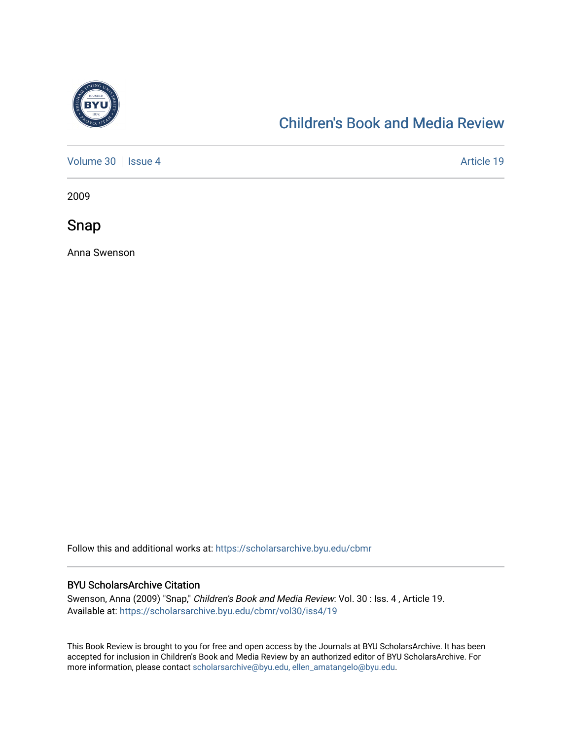

## [Children's Book and Media Review](https://scholarsarchive.byu.edu/cbmr)

[Volume 30](https://scholarsarchive.byu.edu/cbmr/vol30) | [Issue 4](https://scholarsarchive.byu.edu/cbmr/vol30/iss4) Article 19

2009

Snap

Anna Swenson

Follow this and additional works at: [https://scholarsarchive.byu.edu/cbmr](https://scholarsarchive.byu.edu/cbmr?utm_source=scholarsarchive.byu.edu%2Fcbmr%2Fvol30%2Fiss4%2F19&utm_medium=PDF&utm_campaign=PDFCoverPages) 

## BYU ScholarsArchive Citation

Swenson, Anna (2009) "Snap," Children's Book and Media Review: Vol. 30 : Iss. 4, Article 19. Available at: [https://scholarsarchive.byu.edu/cbmr/vol30/iss4/19](https://scholarsarchive.byu.edu/cbmr/vol30/iss4/19?utm_source=scholarsarchive.byu.edu%2Fcbmr%2Fvol30%2Fiss4%2F19&utm_medium=PDF&utm_campaign=PDFCoverPages)

This Book Review is brought to you for free and open access by the Journals at BYU ScholarsArchive. It has been accepted for inclusion in Children's Book and Media Review by an authorized editor of BYU ScholarsArchive. For more information, please contact [scholarsarchive@byu.edu, ellen\\_amatangelo@byu.edu.](mailto:scholarsarchive@byu.edu,%20ellen_amatangelo@byu.edu)